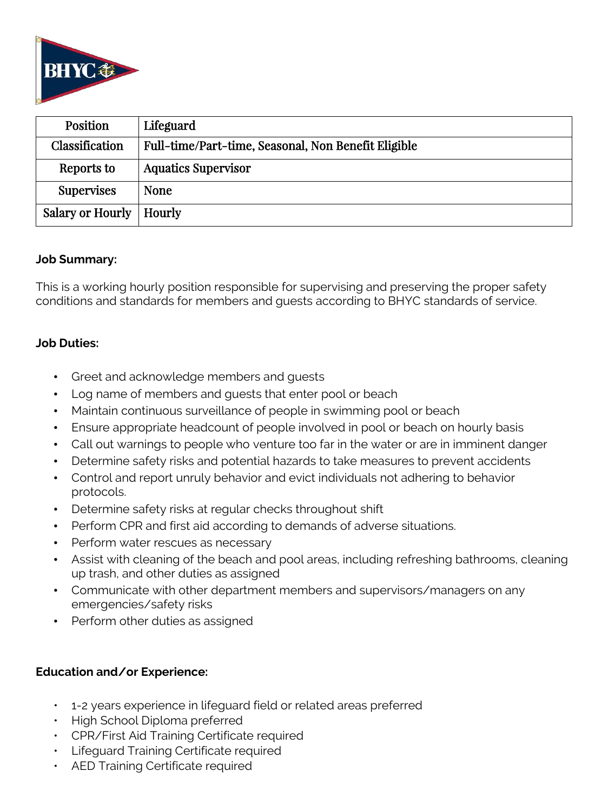

| Position                  | Lifeguard                                           |
|---------------------------|-----------------------------------------------------|
| Classification            | Full-time/Part-time, Seasonal, Non Benefit Eligible |
| Reports to                | <b>Aquatics Supervisor</b>                          |
| <b>Supervises</b>         | <b>None</b>                                         |
| Salary or Hourly   Hourly |                                                     |

### **Job Summary:**

This is a working hourly position responsible for supervising and preserving the proper safety conditions and standards for members and guests according to BHYC standards of service.

## **Job Duties:**

- Greet and acknowledge members and guests
- Log name of members and guests that enter pool or beach
- Maintain continuous surveillance of people in swimming pool or beach
- Ensure appropriate headcount of people involved in pool or beach on hourly basis
- Call out warnings to people who venture too far in the water or are in imminent danger
- Determine safety risks and potential hazards to take measures to prevent accidents
- Control and report unruly behavior and evict individuals not adhering to behavior protocols.
- Determine safety risks at regular checks throughout shift
- Perform CPR and first aid according to demands of adverse situations.
- Perform water rescues as necessary
- Assist with cleaning of the beach and pool areas, including refreshing bathrooms, cleaning up trash, and other duties as assigned
- Communicate with other department members and supervisors/managers on any emergencies/safety risks
- Perform other duties as assigned

## **Education and/or Experience:**

- 1-2 years experience in lifeguard field or related areas preferred
- High School Diploma preferred
- CPR/First Aid Training Certificate required
- Lifeguard Training Certificate required
- AED Training Certificate required